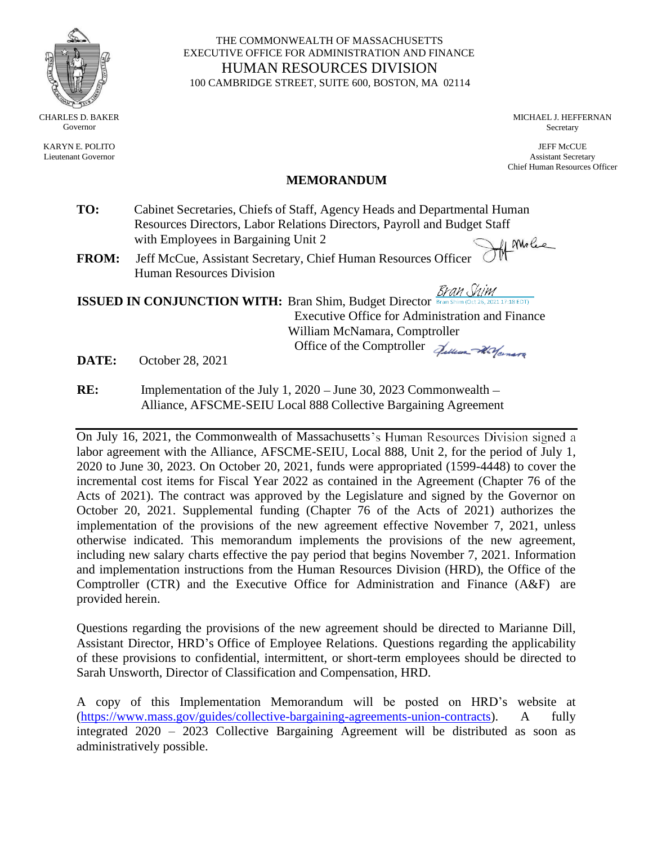

KARYN E. POLITO Lieutenant Governor

THE COMMONWEALTH OF MASSACHUSETTS EXECUTIVE OFFICE FOR ADMINISTRATION AND FINANCE HUMAN RESOURCES DIVISION 100 CAMBRIDGE STREET, SUITE 600, BOSTON, MA 02114

> MICHAEL J. HEFFERNAN Secretary

JEFF McCUE Assistant Secretary Chief Human Resources Officer

#### **MEMORANDUM**

- **TO:** Cabinet Secretaries, Chiefs of Staff, Agency Heads and Departmental Human Resources Directors, Labor Relations Directors, Payroll and Budget Staff with Employees in Bargaining Unit 2 of Molec
- **FROM:** Jeff McCue, Assistant Secretary, Chief Human Resources Officer Human Resources Division

Bran Shim **ISSUED IN CONJUNCTION WITH:** Bran Shim, Budget Director Executive Office for Administration and Finance William McNamara, Comptroller Office of the Comptroller Julian Warners

**DATE:** October 28, 2021

**RE:** Implementation of the July 1, 2020 – June 30, 2023 Commonwealth – Alliance, AFSCME-SEIU Local 888 Collective Bargaining Agreement

On July 16, 2021, the Commonwealth of Massachusetts's Human Resources Division signed a labor agreement with the Alliance, AFSCME-SEIU, Local 888, Unit 2, for the period of July 1, 2020 to June 30, 2023. On October 20, 2021, funds were appropriated (1599-4448) to cover the incremental cost items for Fiscal Year 2022 as contained in the Agreement (Chapter 76 of the Acts of 2021). The contract was approved by the Legislature and signed by the Governor on October 20, 2021. Supplemental funding (Chapter 76 of the Acts of 2021) authorizes the implementation of the provisions of the new agreement effective November 7, 2021, unless otherwise indicated. This memorandum implements the provisions of the new agreement, including new salary charts effective the pay period that begins November 7, 2021. Information and implementation instructions from the Human Resources Division (HRD), the Office of the Comptroller (CTR) and the Executive Office for Administration and Finance (A&F) are provided herein.

Questions regarding the provisions of the new agreement should be directed to Marianne Dill, Assistant Director, HRD's Office of Employee Relations. Questions regarding the applicability of these provisions to confidential, intermittent, or short-term employees should be directed to Sarah Unsworth, Director of Classification and Compensation, HRD.

A copy of this Implementation Memorandum will be posted on HRD's website at [\(https://www.mass.gov/guides/collective-bargaining-agreements-union-contracts\)](https://www.mass.gov/guides/collective-bargaining-agreements-union-contracts). A fully integrated 2020 – 2023 Collective Bargaining Agreement will be distributed as soon as administratively possible.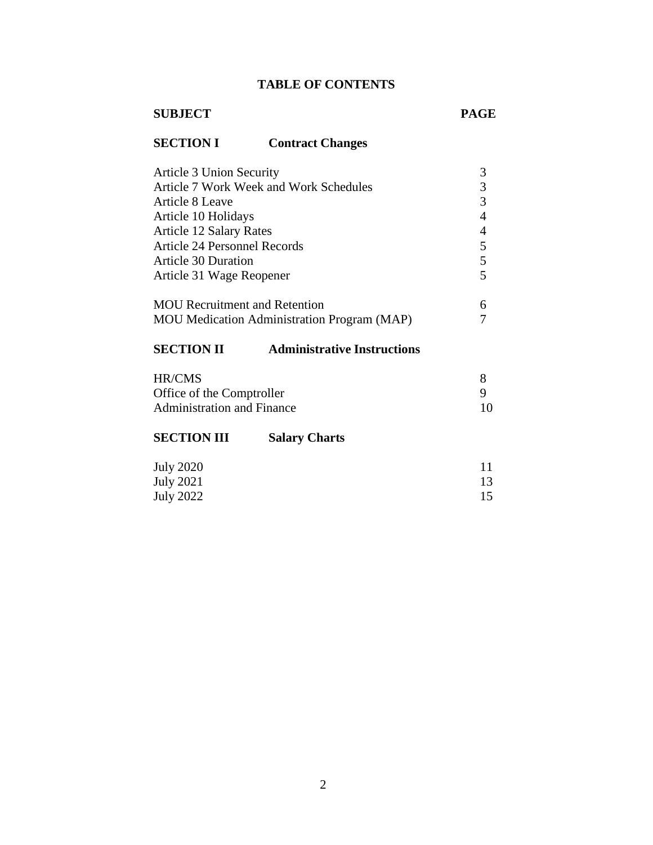# **TABLE OF CONTENTS**

# **SUBJECT PAGE**

# **SECTION I Contract Changes**

| <b>Article 3 Union Security</b>                                                            | 3 |  |  |  |  |  |
|--------------------------------------------------------------------------------------------|---|--|--|--|--|--|
| Article 7 Work Week and Work Schedules                                                     | 3 |  |  |  |  |  |
| Article 8 Leave                                                                            | 3 |  |  |  |  |  |
| Article 10 Holidays                                                                        | 4 |  |  |  |  |  |
| <b>Article 12 Salary Rates</b>                                                             | 4 |  |  |  |  |  |
| Article 24 Personnel Records                                                               | 5 |  |  |  |  |  |
| <b>Article 30 Duration</b>                                                                 | 5 |  |  |  |  |  |
| Article 31 Wage Reopener                                                                   |   |  |  |  |  |  |
| <b>MOU</b> Recruitment and Retention<br><b>MOU</b> Medication Administration Program (MAP) | 6 |  |  |  |  |  |
| <b>SECTION II</b><br><b>Administrative Instructions</b>                                    |   |  |  |  |  |  |
| <b>HR/CMS</b><br>Office of the Comptroller<br><b>Administration and Finance</b>            |   |  |  |  |  |  |

# **[SECTION](#page-10-0) III Salary Charts**

| <b>July 2020</b> |    |
|------------------|----|
| July 2021        | 13 |
| July 2022        | 15 |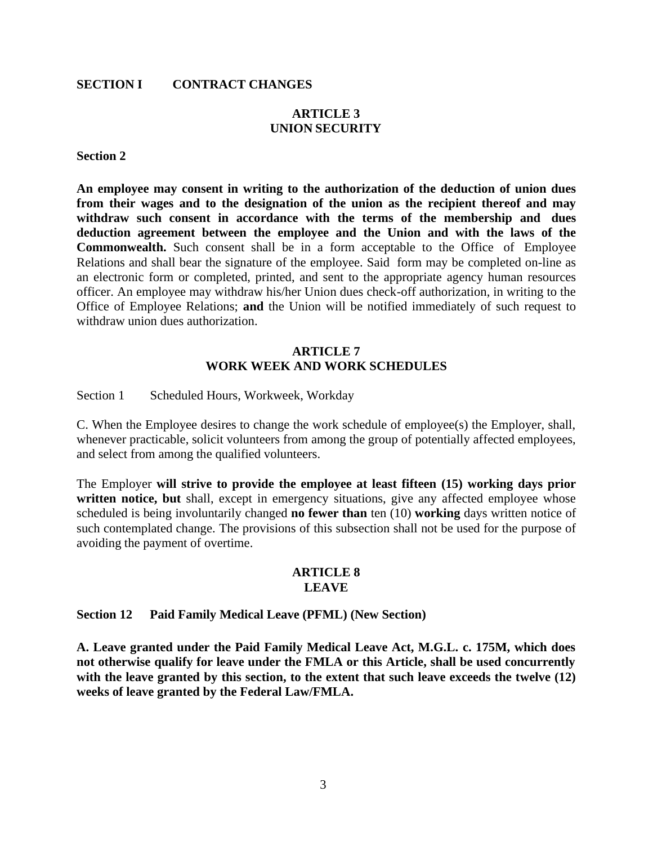#### **SECTION I CONTRACT CHANGES**

# <span id="page-2-0"></span>**ARTICLE 3 UNION SECURITY**

#### **Section 2**

**An employee may consent in writing to the authorization of the deduction of union dues from their wages and to the designation of the union as the recipient thereof and may withdraw such consent in accordance with the terms of the membership and dues deduction agreement between the employee and the Union and with the laws of the Commonwealth.** Such consent shall be in a form acceptable to the Office of Employee Relations and shall bear the signature of the employee. Said form may be completed on-line as an electronic form or completed, printed, and sent to the appropriate agency human resources officer. An employee may withdraw his/her Union dues check-off authorization, in writing to the Office of Employee Relations; **and** the Union will be notified immediately of such request to withdraw union dues authorization.

#### **ARTICLE 7 WORK WEEK AND WORK SCHEDULES**

Section 1 Scheduled Hours, Workweek, Workday

C. When the Employee desires to change the work schedule of employee(s) the Employer, shall, whenever practicable, solicit volunteers from among the group of potentially affected employees, and select from among the qualified volunteers.

The Employer **will strive to provide the employee at least fifteen (15) working days prior** written notice, but shall, except in emergency situations, give any affected employee whose scheduled is being involuntarily changed **no fewer than** ten (10) **working** days written notice of such contemplated change. The provisions of this subsection shall not be used for the purpose of avoiding the payment of overtime.

#### **ARTICLE 8 LEAVE**

<span id="page-2-1"></span>**Section 12 Paid Family Medical Leave (PFML) (New Section)**

**A. Leave granted under the Paid Family Medical Leave Act, M.G.L. c. 175M, which does not otherwise qualify for leave under the FMLA or this Article, shall be used concurrently with the leave granted by this section, to the extent that such leave exceeds the twelve (12) weeks of leave granted by the Federal Law/FMLA.**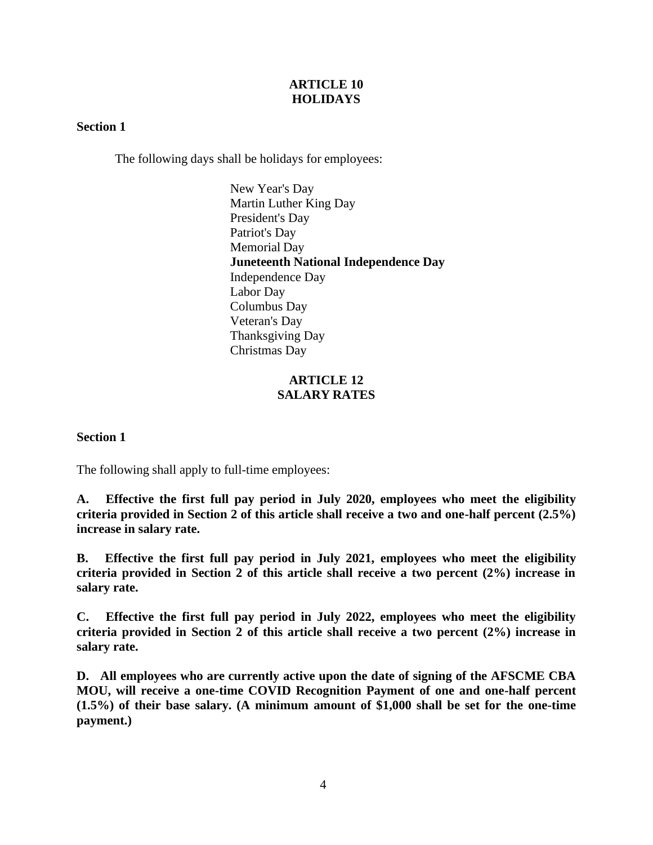#### **ARTICLE 10 HOLIDAYS**

#### <span id="page-3-0"></span>**Section 1**

The following days shall be holidays for employees:

New Year's Day Martin Luther King Day President's Day Patriot's Day Memorial Day **Juneteenth National Independence Day** Independence Day Labor Day Columbus Day Veteran's Day Thanksgiving Day Christmas Day

### **ARTICLE 12 SALARY RATES**

<span id="page-3-1"></span>**Section 1**

The following shall apply to full-time employees:

**A. Effective the first full pay period in July 2020, employees who meet the eligibility criteria provided in Section 2 of this article shall receive a two and one-half percent (2.5%) increase in salary rate.**

**B. Effective the first full pay period in July 2021, employees who meet the eligibility criteria provided in Section 2 of this article shall receive a two percent (2%) increase in salary rate.**

**C. Effective the first full pay period in July 2022, employees who meet the eligibility criteria provided in Section 2 of this article shall receive a two percent (2%) increase in salary rate.**

**D. All employees who are currently active upon the date of signing of the AFSCME CBA MOU, will receive a one-time COVID Recognition Payment of one and one-half percent (1.5%) of their base salary. (A minimum amount of \$1,000 shall be set for the one-time payment.)**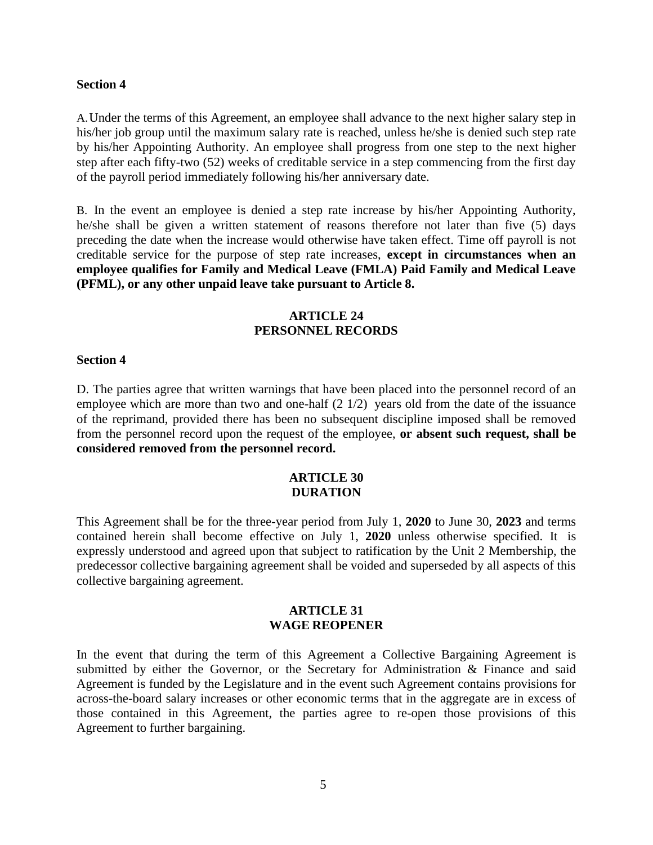#### **Section 4**

A.Under the terms of this Agreement, an employee shall advance to the next higher salary step in his/her job group until the maximum salary rate is reached, unless he/she is denied such step rate by his/her Appointing Authority. An employee shall progress from one step to the next higher step after each fifty-two (52) weeks of creditable service in a step commencing from the first day of the payroll period immediately following his/her anniversary date.

B. In the event an employee is denied a step rate increase by his/her Appointing Authority, he/she shall be given a written statement of reasons therefore not later than five (5) days preceding the date when the increase would otherwise have taken effect. Time off payroll is not creditable service for the purpose of step rate increases, **except in circumstances when an employee qualifies for Family and Medical Leave (FMLA) Paid Family and Medical Leave (PFML), or any other unpaid leave take pursuant to Article 8.**

#### **ARTICLE 24 PERSONNEL RECORDS**

#### <span id="page-4-0"></span>**Section 4**

D. The parties agree that written warnings that have been placed into the personnel record of an employee which are more than two and one-half  $(2 1/2)$  years old from the date of the issuance of the reprimand, provided there has been no subsequent discipline imposed shall be removed from the personnel record upon the request of the employee, **or absent such request, shall be considered removed from the personnel record.**

#### **ARTICLE 30 DURATION**

<span id="page-4-1"></span>This Agreement shall be for the three-year period from July 1, **2020** to June 30, **2023** and terms contained herein shall become effective on July 1, **2020** unless otherwise specified. It is expressly understood and agreed upon that subject to ratification by the Unit 2 Membership, the predecessor collective bargaining agreement shall be voided and superseded by all aspects of this collective bargaining agreement.

#### **ARTICLE 31 WAGE REOPENER**

<span id="page-4-2"></span>In the event that during the term of this Agreement a Collective Bargaining Agreement is submitted by either the Governor, or the Secretary for Administration & Finance and said Agreement is funded by the Legislature and in the event such Agreement contains provisions for across-the-board salary increases or other economic terms that in the aggregate are in excess of those contained in this Agreement, the parties agree to re-open those provisions of this Agreement to further bargaining.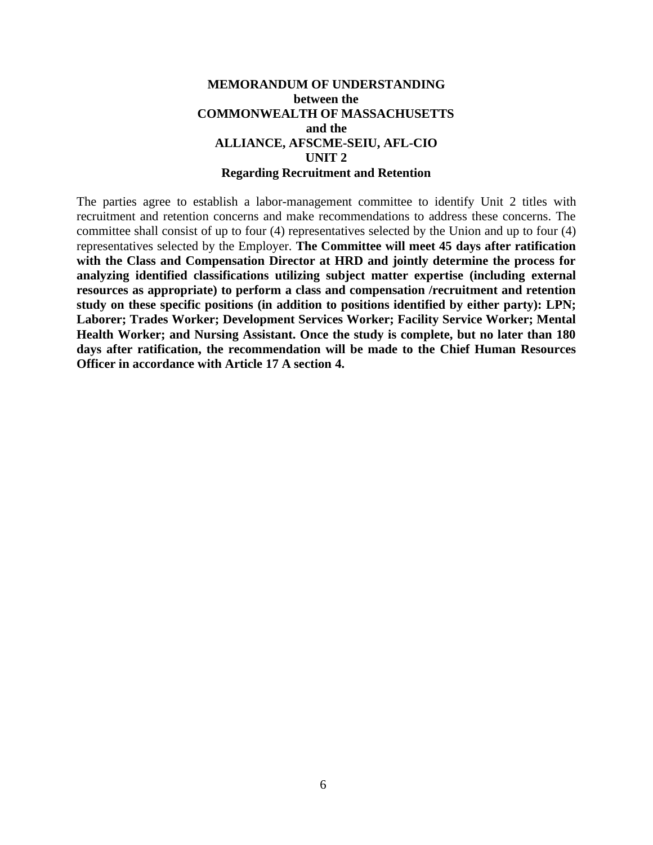#### **MEMORANDUM OF UNDERSTANDING between the COMMONWEALTH OF MASSACHUSETTS and the ALLIANCE, AFSCME-SEIU, AFL-CIO UNIT 2 Regarding Recruitment and Retention**

The parties agree to establish a labor-management committee to identify Unit 2 titles with recruitment and retention concerns and make recommendations to address these concerns. The committee shall consist of up to four (4) representatives selected by the Union and up to four (4) representatives selected by the Employer. **The Committee will meet 45 days after ratification with the Class and Compensation Director at HRD and jointly determine the process for analyzing identified classifications utilizing subject matter expertise (including external resources as appropriate) to perform a class and compensation /recruitment and retention study on these specific positions (in addition to positions identified by either party): LPN; Laborer; Trades Worker; Development Services Worker; Facility Service Worker; Mental Health Worker; and Nursing Assistant. Once the study is complete, but no later than 180 days after ratification, the recommendation will be made to the Chief Human Resources Officer in accordance with Article 17 A section 4.**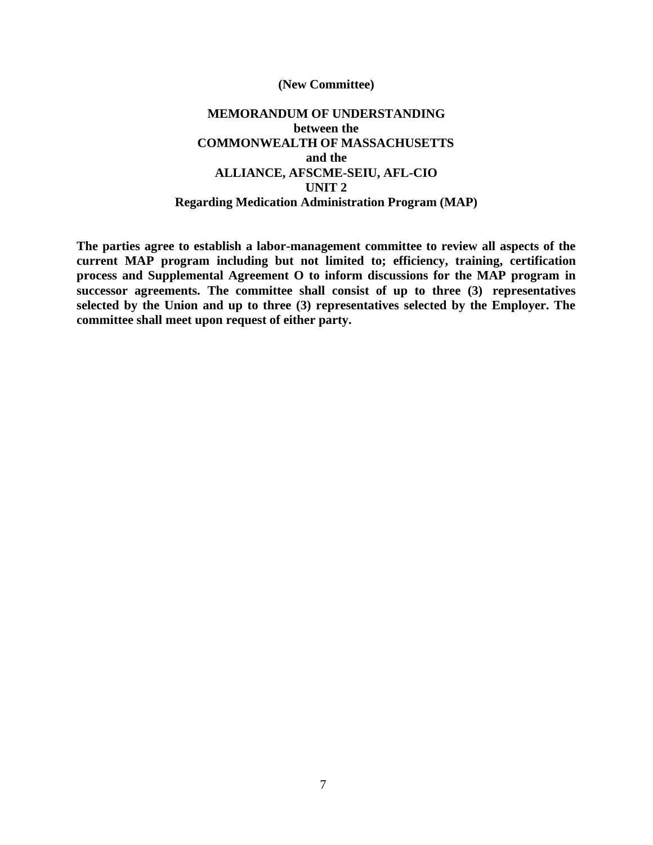#### **(New Committee)**

### **MEMORANDUM OF UNDERSTANDING between the COMMONWEALTH OF MASSACHUSETTS and the ALLIANCE, AFSCME-SEIU, AFL-CIO UNIT 2 Regarding Medication Administration Program (MAP)**

**The parties agree to establish a labor-management committee to review all aspects of the current MAP program including but not limited to; efficiency, training, certification process and Supplemental Agreement O to inform discussions for the MAP program in successor agreements. The committee shall consist of up to three (3) representatives selected by the Union and up to three (3) representatives selected by the Employer. The committee shall meet upon request of either party.**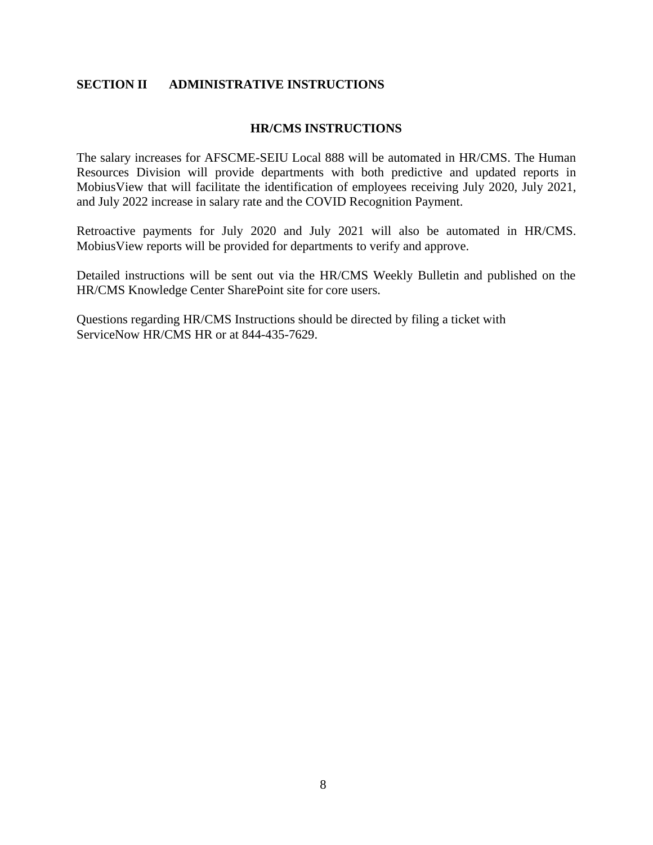#### <span id="page-7-0"></span>**SECTION II ADMINISTRATIVE INSTRUCTIONS**

#### **HR/CMS INSTRUCTIONS**

The salary increases for AFSCME-SEIU Local 888 will be automated in HR/CMS. The Human Resources Division will provide departments with both predictive and updated reports in MobiusView that will facilitate the identification of employees receiving July 2020, July 2021, and July 2022 increase in salary rate and the COVID Recognition Payment.

Retroactive payments for July 2020 and July 2021 will also be automated in HR/CMS. MobiusView reports will be provided for departments to verify and approve.

Detailed instructions will be sent out via the HR/CMS Weekly Bulletin and published on the HR/CMS Knowledge Center SharePoint site for core users.

Questions regarding HR/CMS Instructions should be directed by filing a ticket with ServiceNow HR/CMS HR or at 844-435-7629.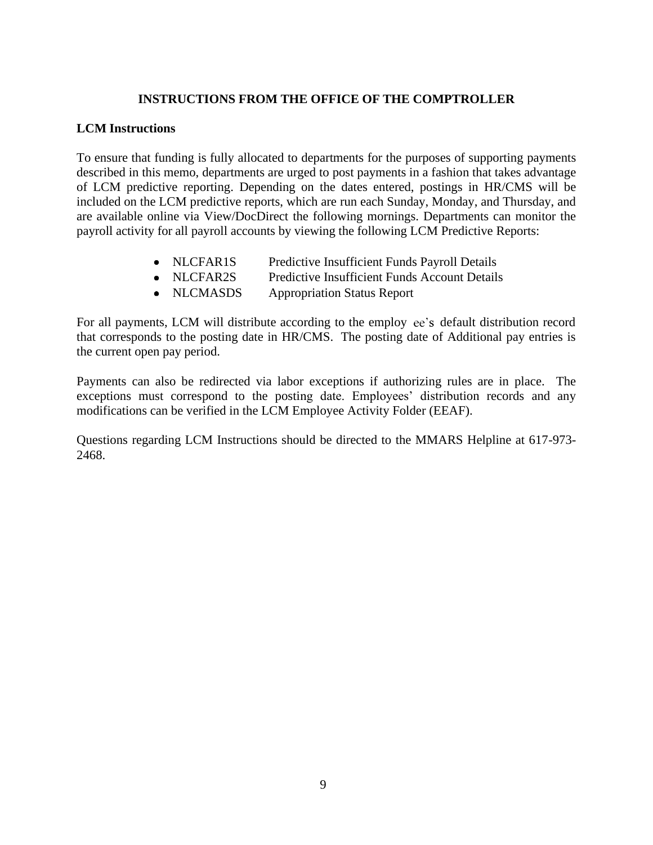#### **INSTRUCTIONS FROM THE OFFICE OF THE COMPTROLLER**

#### **LCM Instructions**

To ensure that funding is fully allocated to departments for the purposes of supporting payments described in this memo, departments are urged to post payments in a fashion that takes advantage of LCM predictive reporting. Depending on the dates entered, postings in HR/CMS will be included on the LCM predictive reports, which are run each Sunday, Monday, and Thursday, and are available online via View/DocDirect the following mornings. Departments can monitor the payroll activity for all payroll accounts by viewing the following LCM Predictive Reports:

- NLCFAR1S Predictive Insufficient Funds Payroll Details
- NLCFAR2S Predictive Insufficient Funds Account Details
- NLCMASDS Appropriation Status Report

For all payments, LCM will distribute according to the employ ee's default distribution record that corresponds to the posting date in HR/CMS. The posting date of Additional pay entries is the current open pay period.

Payments can also be redirected via labor exceptions if authorizing rules are in place. The exceptions must correspond to the posting date. Employees' distribution records and any modifications can be verified in the LCM Employee Activity Folder (EEAF).

Questions regarding LCM Instructions should be directed to the MMARS Helpline at 617-973- 2468.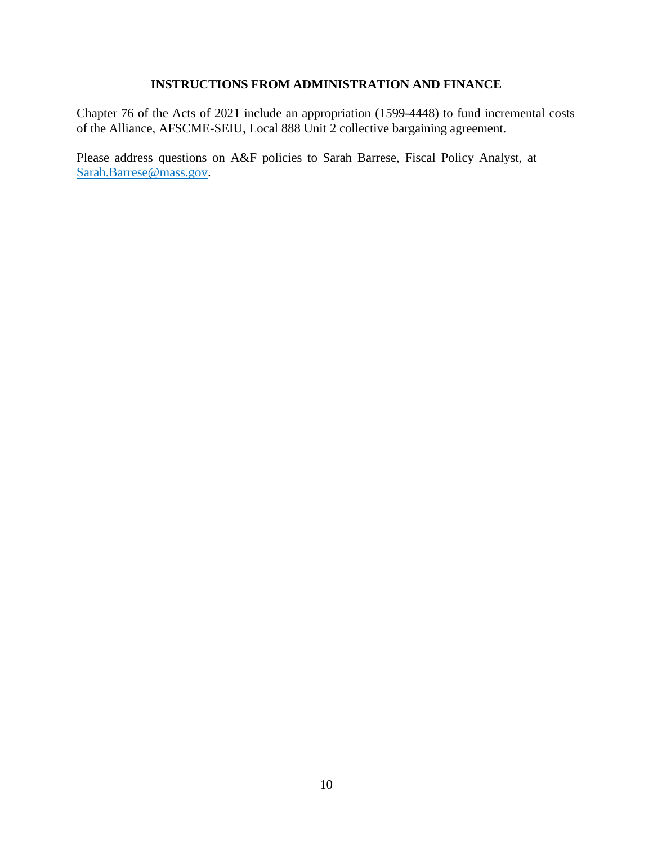## **INSTRUCTIONS FROM ADMINISTRATION AND FINANCE**

Chapter 76 of the Acts of 2021 include an appropriation (1599-4448) to fund incremental costs of the Alliance, AFSCME-SEIU, Local 888 Unit 2 collective bargaining agreement.

Please address questions on A&F policies to Sarah Barrese, Fiscal Policy Analyst, at [Sarah.Barrese@mass.gov.](mailto:Sarah.Barrese@mass.gov)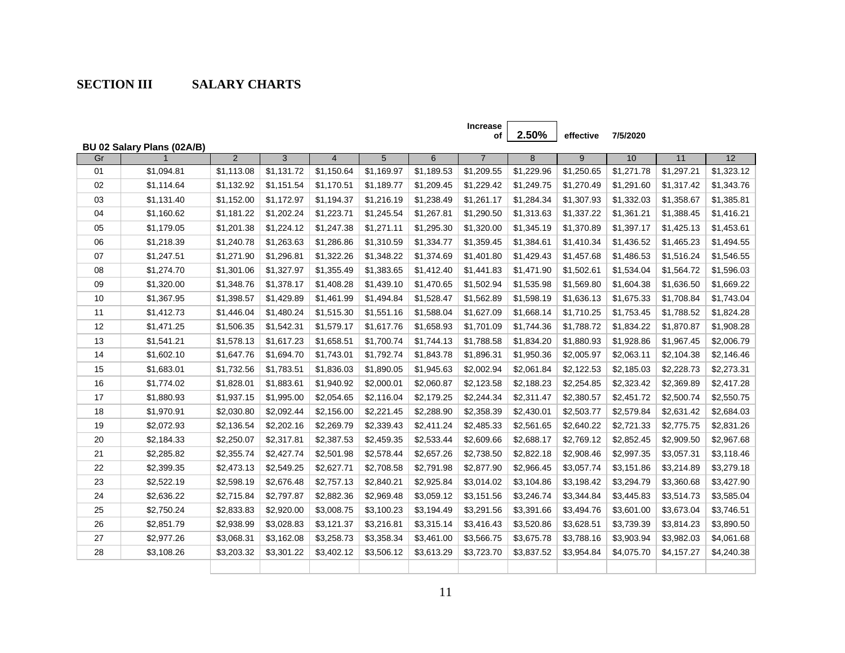# **SECTION III SALARY CHARTS**

<span id="page-10-0"></span>

|    |                            |                |                |                |            |            | <b>Increase</b><br>оf | 2.50%      | effective  | 7/5/2020   |            |            |
|----|----------------------------|----------------|----------------|----------------|------------|------------|-----------------------|------------|------------|------------|------------|------------|
|    | BU 02 Salary Plans (02A/B) |                |                |                |            |            |                       |            |            |            |            |            |
| Gr |                            | $\overline{2}$ | $\overline{3}$ | $\overline{4}$ | 5          | 6          | $\overline{7}$        | 8          | 9          | 10         | 11         | 12         |
| 01 | \$1,094.81                 | \$1,113.08     | \$1,131.72     | \$1,150.64     | \$1,169.97 | \$1,189.53 | \$1,209.55            | \$1,229.96 | \$1,250.65 | \$1,271.78 | \$1,297.21 | \$1,323.12 |
| 02 | \$1,114.64                 | \$1,132.92     | \$1,151.54     | \$1,170.51     | \$1,189.77 | \$1,209.45 | \$1,229.42            | \$1,249.75 | \$1,270.49 | \$1,291.60 | \$1,317.42 | \$1,343.76 |
| 03 | \$1,131.40                 | \$1,152.00     | \$1,172.97     | \$1,194.37     | \$1,216.19 | \$1,238.49 | \$1,261.17            | \$1,284.34 | \$1,307.93 | \$1,332.03 | \$1,358.67 | \$1,385.81 |
| 04 | \$1,160.62                 | \$1,181.22     | \$1,202.24     | \$1,223.71     | \$1,245.54 | \$1,267.81 | \$1,290.50            | \$1,313.63 | \$1,337.22 | \$1,361.21 | \$1,388.45 | \$1,416.21 |
| 05 | \$1,179.05                 | \$1,201.38     | \$1,224.12     | \$1,247.38     | \$1,271.11 | \$1,295.30 | \$1,320.00            | \$1,345.19 | \$1,370.89 | \$1,397.17 | \$1,425.13 | \$1,453.61 |
| 06 | \$1,218.39                 | \$1,240.78     | \$1,263.63     | \$1,286.86     | \$1,310.59 | \$1,334.77 | \$1,359.45            | \$1,384.61 | \$1,410.34 | \$1,436.52 | \$1,465.23 | \$1,494.55 |
| 07 | \$1,247.51                 | \$1,271.90     | \$1,296.81     | \$1,322.26     | \$1,348.22 | \$1,374.69 | \$1,401.80            | \$1,429.43 | \$1,457.68 | \$1,486.53 | \$1,516.24 | \$1,546.55 |
| 08 | \$1,274.70                 | \$1,301.06     | \$1,327.97     | \$1,355.49     | \$1,383.65 | \$1,412.40 | \$1,441.83            | \$1,471.90 | \$1,502.61 | \$1,534.04 | \$1,564.72 | \$1,596.03 |
| 09 | \$1,320.00                 | \$1,348.76     | \$1,378.17     | \$1,408.28     | \$1,439.10 | \$1,470.65 | \$1,502.94            | \$1,535.98 | \$1,569.80 | \$1,604.38 | \$1,636.50 | \$1,669.22 |
| 10 | \$1,367.95                 | \$1,398.57     | \$1,429.89     | \$1,461.99     | \$1,494.84 | \$1,528.47 | \$1,562.89            | \$1,598.19 | \$1,636.13 | \$1,675.33 | \$1,708.84 | \$1,743.04 |
| 11 | \$1,412.73                 | \$1,446.04     | \$1,480.24     | \$1,515.30     | \$1,551.16 | \$1,588.04 | \$1,627.09            | \$1,668.14 | \$1,710.25 | \$1,753.45 | \$1,788.52 | \$1,824.28 |
| 12 | \$1,471.25                 | \$1,506.35     | \$1,542.31     | \$1,579.17     | \$1,617.76 | \$1,658.93 | \$1,701.09            | \$1,744.36 | \$1,788.72 | \$1,834.22 | \$1,870.87 | \$1,908.28 |
| 13 | \$1,541.21                 | \$1,578.13     | \$1,617.23     | \$1,658.51     | \$1,700.74 | \$1,744.13 | \$1,788.58            | \$1,834.20 | \$1,880.93 | \$1,928.86 | \$1,967.45 | \$2,006.79 |
| 14 | \$1,602.10                 | \$1,647.76     | \$1,694.70     | \$1,743.01     | \$1,792.74 | \$1,843.78 | \$1,896.31            | \$1,950.36 | \$2,005.97 | \$2,063.11 | \$2,104.38 | \$2,146.46 |
| 15 | \$1,683.01                 | \$1,732.56     | \$1,783.51     | \$1,836.03     | \$1,890.05 | \$1,945.63 | \$2,002.94            | \$2,061.84 | \$2,122.53 | \$2,185.03 | \$2,228.73 | \$2,273.31 |
| 16 | \$1,774.02                 | \$1,828.01     | \$1,883.61     | \$1,940.92     | \$2,000.01 | \$2,060.87 | \$2,123.58            | \$2,188.23 | \$2,254.85 | \$2,323.42 | \$2,369.89 | \$2,417.28 |
| 17 | \$1,880.93                 | \$1,937.15     | \$1,995.00     | \$2,054.65     | \$2,116.04 | \$2,179.25 | \$2,244.34            | \$2,311.47 | \$2,380.57 | \$2,451.72 | \$2,500.74 | \$2,550.75 |
| 18 | \$1,970.91                 | \$2,030.80     | \$2,092.44     | \$2,156.00     | \$2,221.45 | \$2,288.90 | \$2,358.39            | \$2,430.01 | \$2,503.77 | \$2,579.84 | \$2,631.42 | \$2,684.03 |
| 19 | \$2,072.93                 | \$2,136.54     | \$2,202.16     | \$2,269.79     | \$2,339.43 | \$2,411.24 | \$2,485.33            | \$2,561.65 | \$2,640.22 | \$2,721.33 | \$2,775.75 | \$2,831.26 |
| 20 | \$2,184.33                 | \$2,250.07     | \$2,317.81     | \$2,387.53     | \$2,459.35 | \$2,533.44 | \$2,609.66            | \$2,688.17 | \$2,769.12 | \$2,852.45 | \$2,909.50 | \$2,967.68 |
| 21 | \$2,285.82                 | \$2,355.74     | \$2,427.74     | \$2,501.98     | \$2,578.44 | \$2,657.26 | \$2,738.50            | \$2,822.18 | \$2,908.46 | \$2,997.35 | \$3,057.31 | \$3,118.46 |
| 22 | \$2,399.35                 | \$2,473.13     | \$2,549.25     | \$2,627.71     | \$2,708.58 | \$2,791.98 | \$2,877.90            | \$2,966.45 | \$3,057.74 | \$3,151.86 | \$3,214.89 | \$3,279.18 |
| 23 | \$2,522.19                 | \$2,598.19     | \$2,676.48     | \$2,757.13     | \$2,840.21 | \$2,925.84 | \$3,014.02            | \$3,104.86 | \$3,198.42 | \$3,294.79 | \$3,360.68 | \$3,427.90 |
| 24 | \$2,636.22                 | \$2,715.84     | \$2,797.87     | \$2,882.36     | \$2,969.48 | \$3,059.12 | \$3,151.56            | \$3,246.74 | \$3,344.84 | \$3,445.83 | \$3,514.73 | \$3,585.04 |
| 25 | \$2,750.24                 | \$2,833.83     | \$2,920.00     | \$3,008.75     | \$3,100.23 | \$3,194.49 | \$3,291.56            | \$3,391.66 | \$3,494.76 | \$3,601.00 | \$3,673.04 | \$3,746.51 |
| 26 | \$2,851.79                 | \$2,938.99     | \$3,028.83     | \$3,121.37     | \$3,216.81 | \$3,315.14 | \$3,416.43            | \$3,520.86 | \$3,628.51 | \$3,739.39 | \$3,814.23 | \$3,890.50 |
| 27 | \$2,977.26                 | \$3,068.31     | \$3,162.08     | \$3,258.73     | \$3,358.34 | \$3,461.00 | \$3,566.75            | \$3,675.78 | \$3,788.16 | \$3,903.94 | \$3,982.03 | \$4,061.68 |
| 28 | \$3,108.26                 | \$3,203.32     | \$3,301.22     | \$3,402.12     | \$3,506.12 | \$3,613.29 | \$3,723.70            | \$3,837.52 | \$3,954.84 | \$4,075.70 | \$4,157.27 | \$4,240.38 |
|    |                            |                |                |                |            |            |                       |            |            |            |            |            |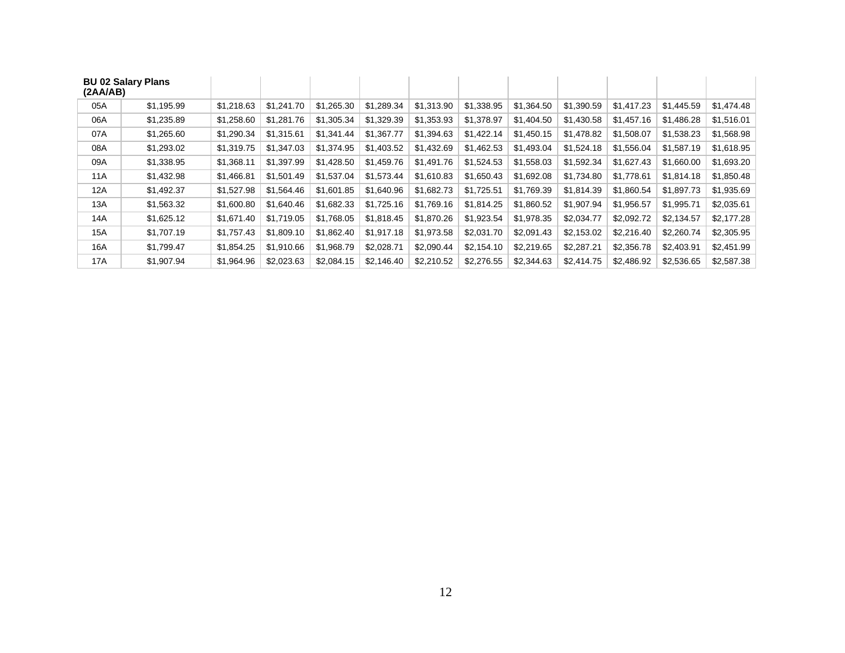| (2A A/AB) | <b>BU 02 Salary Plans</b> |            |            |            |            |            |            |            |            |            |            |            |
|-----------|---------------------------|------------|------------|------------|------------|------------|------------|------------|------------|------------|------------|------------|
| 05A       | \$1,195.99                | \$1,218.63 | \$1.241.70 | \$1,265.30 | \$1,289.34 | \$1,313.90 | \$1,338.95 | \$1,364.50 | \$1,390.59 | \$1,417.23 | \$1,445.59 | \$1,474.48 |
| 06A       | \$1,235.89                | \$1,258.60 | \$1,281.76 | \$1,305.34 | \$1,329.39 | \$1,353.93 | \$1,378.97 | \$1,404.50 | \$1,430.58 | \$1,457.16 | \$1,486.28 | \$1,516.01 |
| 07A       | \$1,265.60                | \$1,290.34 | \$1,315.61 | \$1,341.44 | \$1,367.77 | \$1,394.63 | \$1,422.14 | \$1,450.15 | \$1,478.82 | \$1,508.07 | \$1,538.23 | \$1,568.98 |
| 08A       | \$1,293.02                | \$1,319.75 | \$1,347.03 | \$1,374.95 | \$1,403.52 | \$1,432.69 | \$1,462.53 | \$1,493.04 | \$1,524.18 | \$1,556.04 | \$1,587.19 | \$1,618.95 |
| 09A       | \$1,338.95                | \$1,368.11 | \$1,397.99 | \$1,428.50 | \$1,459.76 | \$1,491.76 | \$1,524.53 | \$1,558.03 | \$1,592.34 | \$1,627.43 | \$1,660.00 | \$1,693.20 |
| 11A       | \$1,432.98                | \$1,466.81 | \$1,501.49 | \$1,537.04 | \$1,573.44 | \$1,610.83 | \$1,650.43 | \$1,692.08 | \$1.734.80 | \$1,778.61 | \$1,814.18 | \$1,850.48 |
| 12A       | \$1,492.37                | \$1,527.98 | \$1,564.46 | \$1,601.85 | \$1,640.96 | \$1,682.73 | \$1,725.51 | \$1,769.39 | \$1,814.39 | \$1,860.54 | \$1,897.73 | \$1,935.69 |
| 13A       | \$1,563.32                | \$1,600.80 | \$1,640.46 | \$1,682.33 | \$1,725.16 | \$1,769.16 | \$1,814.25 | \$1,860.52 | \$1,907.94 | \$1,956.57 | \$1,995.71 | \$2,035.61 |
| 14A       | \$1,625.12                | \$1,671.40 | \$1,719.05 | \$1,768.05 | \$1,818.45 | \$1,870.26 | \$1,923.54 | \$1,978.35 | \$2,034.77 | \$2,092.72 | \$2,134.57 | \$2,177.28 |
| 15A       | \$1,707.19                | \$1,757.43 | \$1,809.10 | \$1,862.40 | \$1,917.18 | \$1,973.58 | \$2,031.70 | \$2,091.43 | \$2,153.02 | \$2,216.40 | \$2,260.74 | \$2,305.95 |
| 16A       | \$1,799.47                | \$1,854.25 | \$1,910.66 | \$1,968.79 | \$2,028.71 | \$2,090.44 | \$2,154.10 | \$2,219.65 | \$2,287.21 | \$2,356.78 | \$2,403.91 | \$2,451.99 |
| 17A       | \$1,907.94                | \$1,964.96 | \$2,023.63 | \$2,084.15 | \$2,146.40 | \$2,210.52 | \$2,276.55 | \$2,344.63 | \$2,414.75 | \$2,486.92 | \$2,536.65 | \$2,587.38 |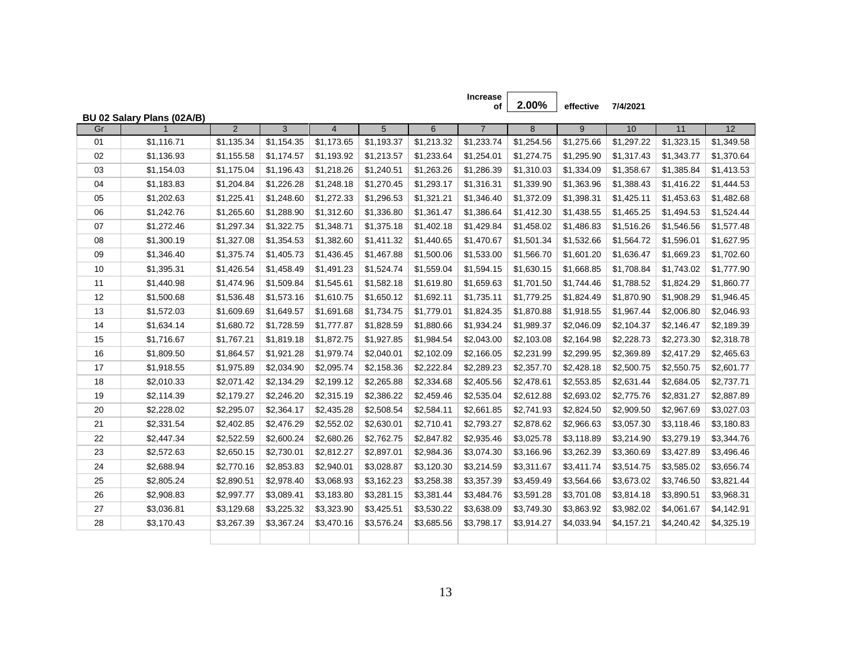|    |                            |                |                |                |            |            | of             | 2.00%      | effective  | 7/4/2021   |            |            |
|----|----------------------------|----------------|----------------|----------------|------------|------------|----------------|------------|------------|------------|------------|------------|
| Gr | BU 02 Salary Plans (02A/B) | $\overline{2}$ | $\overline{3}$ | $\overline{4}$ | 5          | 6          | $\overline{7}$ | 8          | 9          | 10         | 11         | 12         |
| 01 | \$1,116.71                 | \$1,135.34     | \$1,154.35     | \$1,173.65     | \$1,193.37 | \$1,213.32 | \$1,233.74     | \$1,254.56 | \$1,275.66 | \$1,297.22 | \$1,323.15 | \$1,349.58 |
| 02 | \$1,136.93                 | \$1,155.58     | \$1,174.57     | \$1,193.92     | \$1,213.57 | \$1,233.64 | \$1,254.01     | \$1,274.75 | \$1,295.90 | \$1,317.43 | \$1,343.77 | \$1,370.64 |
| 03 | \$1,154.03                 | \$1,175.04     | \$1,196.43     | \$1,218.26     | \$1,240.51 | \$1,263.26 | \$1,286.39     | \$1,310.03 | \$1,334.09 | \$1,358.67 | \$1,385.84 | \$1,413.53 |
| 04 | \$1,183.83                 | \$1,204.84     | \$1,226.28     | \$1,248.18     | \$1,270.45 | \$1,293.17 | \$1,316.31     | \$1,339.90 | \$1,363.96 | \$1,388.43 | \$1,416.22 | \$1,444.53 |
| 05 | \$1,202.63                 | \$1,225.41     | \$1,248.60     | \$1,272.33     | \$1,296.53 | \$1,321.21 | \$1,346.40     | \$1,372.09 | \$1,398.31 | \$1,425.11 | \$1,453.63 | \$1,482.68 |
| 06 | \$1,242.76                 | \$1,265.60     | \$1,288.90     | \$1,312.60     | \$1,336.80 | \$1,361.47 | \$1,386.64     | \$1,412.30 | \$1,438.55 | \$1,465.25 | \$1,494.53 | \$1,524.44 |
| 07 | \$1,272.46                 | \$1,297.34     | \$1,322.75     | \$1,348.71     | \$1,375.18 | \$1,402.18 | \$1,429.84     | \$1,458.02 | \$1,486.83 | \$1,516.26 | \$1,546.56 | \$1,577.48 |
| 08 | \$1,300.19                 | \$1,327.08     | \$1,354.53     | \$1,382.60     | \$1,411.32 | \$1,440.65 | \$1,470.67     | \$1,501.34 | \$1,532.66 | \$1,564.72 | \$1,596.01 | \$1,627.95 |
| 09 | \$1,346.40                 | \$1,375.74     | \$1,405.73     | \$1,436.45     | \$1,467.88 | \$1,500.06 | \$1,533.00     | \$1,566.70 | \$1,601.20 | \$1,636.47 | \$1,669.23 | \$1,702.60 |
| 10 | \$1,395.31                 | \$1,426.54     | \$1,458.49     | \$1,491.23     | \$1,524.74 | \$1,559.04 | \$1,594.15     | \$1,630.15 | \$1,668.85 | \$1,708.84 | \$1,743.02 | \$1,777.90 |
| 11 | \$1,440.98                 | \$1,474.96     | \$1,509.84     | \$1,545.61     | \$1,582.18 | \$1,619.80 | \$1,659.63     | \$1,701.50 | \$1,744.46 | \$1,788.52 | \$1,824.29 | \$1,860.77 |
| 12 | \$1,500.68                 | \$1,536.48     | \$1,573.16     | \$1,610.75     | \$1,650.12 | \$1,692.11 | \$1,735.11     | \$1,779.25 | \$1,824.49 | \$1,870.90 | \$1,908.29 | \$1,946.45 |
| 13 | \$1,572.03                 | \$1,609.69     | \$1,649.57     | \$1,691.68     | \$1,734.75 | \$1,779.01 | \$1,824.35     | \$1,870.88 | \$1,918.55 | \$1,967.44 | \$2,006.80 | \$2,046.93 |
| 14 | \$1,634.14                 | \$1,680.72     | \$1,728.59     | \$1,777.87     | \$1,828.59 | \$1,880.66 | \$1,934.24     | \$1,989.37 | \$2,046.09 | \$2,104.37 | \$2,146.47 | \$2,189.39 |
| 15 | \$1,716.67                 | \$1,767.21     | \$1,819.18     | \$1,872.75     | \$1,927.85 | \$1,984.54 | \$2,043.00     | \$2,103.08 | \$2,164.98 | \$2,228.73 | \$2,273.30 | \$2,318.78 |
| 16 | \$1,809.50                 | \$1,864.57     | \$1,921.28     | \$1,979.74     | \$2,040.01 | \$2,102.09 | \$2,166.05     | \$2,231.99 | \$2,299.95 | \$2,369.89 | \$2,417.29 | \$2,465.63 |
| 17 | \$1,918.55                 | \$1,975.89     | \$2,034.90     | \$2,095.74     | \$2,158.36 | \$2,222.84 | \$2,289.23     | \$2,357.70 | \$2,428.18 | \$2,500.75 | \$2,550.75 | \$2,601.77 |
| 18 | \$2,010.33                 | \$2,071.42     | \$2,134.29     | \$2,199.12     | \$2,265.88 | \$2,334.68 | \$2,405.56     | \$2,478.61 | \$2,553.85 | \$2,631.44 | \$2,684.05 | \$2,737.71 |
| 19 | \$2,114.39                 | \$2,179.27     | \$2,246.20     | \$2,315.19     | \$2,386.22 | \$2,459.46 | \$2,535.04     | \$2,612.88 | \$2,693.02 | \$2,775.76 | \$2,831.27 | \$2,887.89 |
| 20 | \$2,228.02                 | \$2,295.07     | \$2,364.17     | \$2,435.28     | \$2,508.54 | \$2,584.11 | \$2,661.85     | \$2,741.93 | \$2,824.50 | \$2,909.50 | \$2,967.69 | \$3,027.03 |
| 21 | \$2,331.54                 | \$2,402.85     | \$2,476.29     | \$2,552.02     | \$2,630.01 | \$2,710.41 | \$2,793.27     | \$2,878.62 | \$2,966.63 | \$3,057.30 | \$3,118.46 | \$3,180.83 |
| 22 | \$2,447.34                 | \$2,522.59     | \$2,600.24     | \$2,680.26     | \$2,762.75 | \$2,847.82 | \$2,935.46     | \$3,025.78 | \$3,118.89 | \$3,214.90 | \$3,279.19 | \$3,344.76 |
| 23 | \$2,572.63                 | \$2,650.15     | \$2,730.01     | \$2,812.27     | \$2,897.01 | \$2,984.36 | \$3,074.30     | \$3,166.96 | \$3,262.39 | \$3,360.69 | \$3,427.89 | \$3,496.46 |
| 24 | \$2,688.94                 | \$2,770.16     | \$2,853.83     | \$2,940.01     | \$3,028.87 | \$3,120.30 | \$3,214.59     | \$3,311.67 | \$3,411.74 | \$3,514.75 | \$3,585.02 | \$3,656.74 |
| 25 | \$2,805.24                 | \$2,890.51     | \$2,978.40     | \$3,068.93     | \$3,162.23 | \$3,258.38 | \$3,357.39     | \$3,459.49 | \$3,564.66 | \$3,673.02 | \$3,746.50 | \$3,821.44 |
| 26 | \$2,908.83                 | \$2,997.77     | \$3,089.41     | \$3,183.80     | \$3,281.15 | \$3,381.44 | \$3,484.76     | \$3,591.28 | \$3,701.08 | \$3,814.18 | \$3,890.51 | \$3,968.31 |
| 27 | \$3,036.81                 | \$3,129.68     | \$3,225.32     | \$3,323.90     | \$3,425.51 | \$3,530.22 | \$3,638.09     | \$3,749.30 | \$3,863.92 | \$3,982.02 | \$4,061.67 | \$4,142.91 |
| 28 | \$3,170.43                 | \$3,267.39     | \$3,367.24     | \$3,470.16     | \$3,576.24 | \$3,685.56 | \$3,798.17     | \$3,914.27 | \$4,033.94 | \$4,157.21 | \$4,240.42 | \$4,325.19 |
|    |                            |                |                |                |            |            |                |            |            |            |            |            |

**Increase**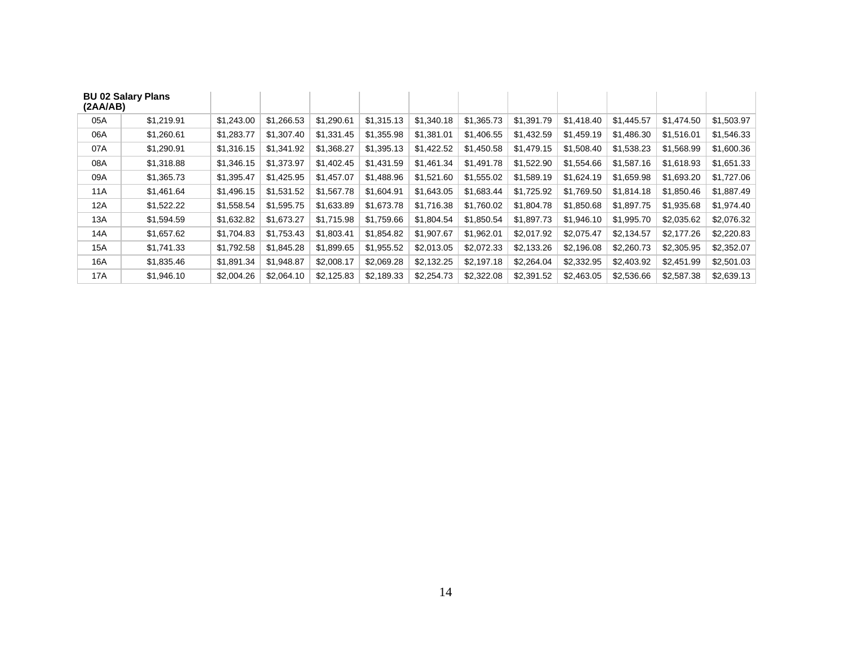| <b>BU 02 Salary Plans</b><br>(2A A/AB) |            |            |            |            |            |            |            |            |            |            |            |            |
|----------------------------------------|------------|------------|------------|------------|------------|------------|------------|------------|------------|------------|------------|------------|
| 05A                                    | \$1,219.91 | \$1,243.00 | \$1,266.53 | \$1,290.61 | \$1,315.13 | \$1,340.18 | \$1,365.73 | \$1,391.79 | \$1,418.40 | \$1,445.57 | \$1,474.50 | \$1,503.97 |
| 06A                                    | \$1,260.61 | \$1,283.77 | \$1,307.40 | \$1,331.45 | \$1,355.98 | \$1,381.01 | \$1,406.55 | \$1,432.59 | \$1,459.19 | \$1,486.30 | \$1,516.01 | \$1,546.33 |
| 07A                                    | \$1,290.91 | \$1,316.15 | \$1,341.92 | \$1,368.27 | \$1,395.13 | \$1,422.52 | \$1,450.58 | \$1,479.15 | \$1,508.40 | \$1,538.23 | \$1,568.99 | \$1,600.36 |
| 08A                                    | \$1,318.88 | \$1,346.15 | \$1,373.97 | \$1,402.45 | \$1,431.59 | \$1,461.34 | \$1,491.78 | \$1,522.90 | \$1.554.66 | \$1,587.16 | \$1,618.93 | \$1,651.33 |
| 09A                                    | \$1,365.73 | \$1,395.47 | \$1,425.95 | \$1,457.07 | \$1,488.96 | \$1,521.60 | \$1,555.02 | \$1,589.19 | \$1.624.19 | \$1,659.98 | \$1,693.20 | \$1,727.06 |
| 11A                                    | \$1,461.64 | \$1,496.15 | \$1,531.52 | \$1,567.78 | \$1.604.91 | \$1.643.05 | \$1,683.44 | \$1.725.92 | \$1.769.50 | \$1,814.18 | \$1.850.46 | \$1,887.49 |
| 12A                                    | \$1,522.22 | \$1,558.54 | \$1,595.75 | \$1,633.89 | \$1,673.78 | \$1,716.38 | \$1,760.02 | \$1,804.78 | \$1,850.68 | \$1,897.75 | \$1,935.68 | \$1,974.40 |
| 13A                                    | \$1,594.59 | \$1,632.82 | \$1,673.27 | \$1,715.98 | \$1,759.66 | \$1,804.54 | \$1,850.54 | \$1,897.73 | \$1,946.10 | \$1,995.70 | \$2,035.62 | \$2,076.32 |
| 14A                                    | \$1,657.62 | \$1,704.83 | \$1,753.43 | \$1,803.41 | \$1.854.82 | \$1,907.67 | \$1,962.01 | \$2,017.92 | \$2,075.47 | \$2,134.57 | \$2,177.26 | \$2,220.83 |
| 15A                                    | \$1,741.33 | \$1,792.58 | \$1,845.28 | \$1,899.65 | \$1,955.52 | \$2,013.05 | \$2,072.33 | \$2,133.26 | \$2,196.08 | \$2,260.73 | \$2,305.95 | \$2,352.07 |
| 16A                                    | \$1,835.46 | \$1,891.34 | \$1,948.87 | \$2,008.17 | \$2,069.28 | \$2,132.25 | \$2,197.18 | \$2,264.04 | \$2,332.95 | \$2,403.92 | \$2,451.99 | \$2,501.03 |
| 17A                                    | \$1,946.10 | \$2,004.26 | \$2,064.10 | \$2,125.83 | \$2,189.33 | \$2,254.73 | \$2,322.08 | \$2,391.52 | \$2,463.05 | \$2,536.66 | \$2,587.38 | \$2,639.13 |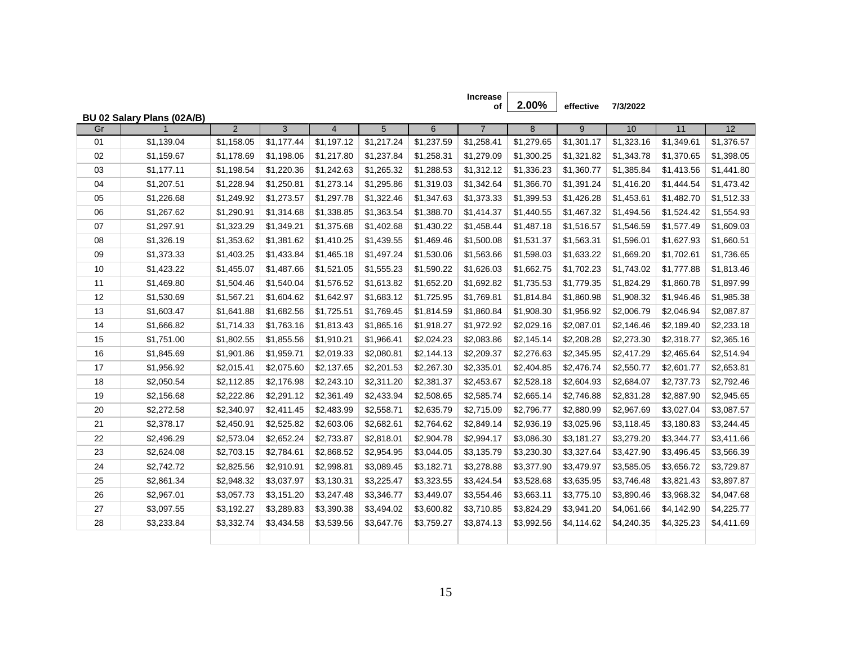|    |                            |                |                |                |            |            | of             | 2.00%      | effective  | 7/3/2022   |            |            |
|----|----------------------------|----------------|----------------|----------------|------------|------------|----------------|------------|------------|------------|------------|------------|
| Gr | BU 02 Salary Plans (02A/B) | $\overline{2}$ | $\overline{3}$ | $\overline{4}$ | 5          | 6          | $\overline{7}$ | 8          | 9          | 10         | 11         | 12         |
| 01 | \$1,139.04                 | \$1,158.05     | \$1,177.44     | \$1,197.12     | \$1,217.24 | \$1,237.59 | \$1,258.41     | \$1,279.65 | \$1,301.17 | \$1,323.16 | \$1,349.61 | \$1,376.57 |
| 02 | \$1,159.67                 | \$1,178.69     | \$1,198.06     | \$1,217.80     | \$1,237.84 | \$1,258.31 | \$1,279.09     | \$1,300.25 | \$1,321.82 | \$1,343.78 | \$1,370.65 | \$1,398.05 |
| 03 | \$1,177.11                 | \$1,198.54     | \$1,220.36     | \$1,242.63     | \$1,265.32 | \$1,288.53 | \$1,312.12     | \$1,336.23 | \$1,360.77 | \$1,385.84 | \$1,413.56 | \$1,441.80 |
| 04 | \$1,207.51                 | \$1,228.94     | \$1,250.81     | \$1,273.14     | \$1,295.86 | \$1,319.03 | \$1,342.64     | \$1,366.70 | \$1,391.24 | \$1,416.20 | \$1,444.54 | \$1,473.42 |
|    |                            |                |                |                |            |            |                |            |            |            |            |            |
| 05 | \$1,226.68                 | \$1,249.92     | \$1,273.57     | \$1,297.78     | \$1,322.46 | \$1,347.63 | \$1,373.33     | \$1,399.53 | \$1,426.28 | \$1,453.61 | \$1,482.70 | \$1,512.33 |
| 06 | \$1,267.62                 | \$1,290.91     | \$1,314.68     | \$1,338.85     | \$1,363.54 | \$1,388.70 | \$1,414.37     | \$1,440.55 | \$1,467.32 | \$1,494.56 | \$1,524.42 | \$1,554.93 |
| 07 | \$1,297.91                 | \$1,323.29     | \$1,349.21     | \$1,375.68     | \$1,402.68 | \$1,430.22 | \$1,458.44     | \$1,487.18 | \$1,516.57 | \$1,546.59 | \$1,577.49 | \$1,609.03 |
| 08 | \$1,326.19                 | \$1,353.62     | \$1,381.62     | \$1,410.25     | \$1,439.55 | \$1,469.46 | \$1,500.08     | \$1,531.37 | \$1,563.31 | \$1,596.01 | \$1,627.93 | \$1,660.51 |
| 09 | \$1,373.33                 | \$1,403.25     | \$1,433.84     | \$1,465.18     | \$1,497.24 | \$1,530.06 | \$1,563.66     | \$1,598.03 | \$1,633.22 | \$1,669.20 | \$1,702.61 | \$1,736.65 |
| 10 | \$1,423.22                 | \$1,455.07     | \$1,487.66     | \$1,521.05     | \$1,555.23 | \$1,590.22 | \$1,626.03     | \$1,662.75 | \$1,702.23 | \$1,743.02 | \$1,777.88 | \$1,813.46 |
| 11 | \$1,469.80                 | \$1,504.46     | \$1,540.04     | \$1,576.52     | \$1,613.82 | \$1,652.20 | \$1,692.82     | \$1,735.53 | \$1,779.35 | \$1,824.29 | \$1,860.78 | \$1,897.99 |
| 12 | \$1,530.69                 | \$1,567.21     | \$1,604.62     | \$1,642.97     | \$1,683.12 | \$1,725.95 | \$1,769.81     | \$1,814.84 | \$1,860.98 | \$1,908.32 | \$1,946.46 | \$1,985.38 |
| 13 | \$1,603.47                 | \$1,641.88     | \$1,682.56     | \$1,725.51     | \$1,769.45 | \$1,814.59 | \$1,860.84     | \$1,908.30 | \$1,956.92 | \$2,006.79 | \$2,046.94 | \$2,087.87 |
| 14 | \$1,666.82                 | \$1,714.33     | \$1,763.16     | \$1,813.43     | \$1,865.16 | \$1,918.27 | \$1,972.92     | \$2,029.16 | \$2,087.01 | \$2,146.46 | \$2,189.40 | \$2,233.18 |
| 15 | \$1,751.00                 | \$1,802.55     | \$1,855.56     | \$1,910.21     | \$1,966.41 | \$2,024.23 | \$2,083.86     | \$2,145.14 | \$2,208.28 | \$2,273.30 | \$2,318.77 | \$2,365.16 |
| 16 | \$1,845.69                 | \$1,901.86     | \$1,959.71     | \$2,019.33     | \$2,080.81 | \$2,144.13 | \$2,209.37     | \$2,276.63 | \$2,345.95 | \$2,417.29 | \$2,465.64 | \$2,514.94 |
| 17 | \$1,956.92                 | \$2,015.41     | \$2,075.60     | \$2,137.65     | \$2,201.53 | \$2,267.30 | \$2,335.01     | \$2,404.85 | \$2,476.74 | \$2,550.77 | \$2,601.77 | \$2,653.81 |
| 18 | \$2,050.54                 | \$2,112.85     | \$2,176.98     | \$2,243.10     | \$2,311.20 | \$2,381.37 | \$2,453.67     | \$2,528.18 | \$2,604.93 | \$2,684.07 | \$2,737.73 | \$2,792.46 |
| 19 | \$2,156.68                 | \$2,222.86     | \$2,291.12     | \$2,361.49     | \$2,433.94 | \$2,508.65 | \$2,585.74     | \$2,665.14 | \$2,746.88 | \$2,831.28 | \$2,887.90 | \$2,945.65 |
| 20 | \$2,272.58                 | \$2,340.97     | \$2,411.45     | \$2,483.99     | \$2,558.71 | \$2,635.79 | \$2,715.09     | \$2,796.77 | \$2,880.99 | \$2,967.69 | \$3,027.04 | \$3,087.57 |
| 21 | \$2,378.17                 | \$2,450.91     | \$2,525.82     | \$2,603.06     | \$2,682.61 | \$2,764.62 | \$2,849.14     | \$2,936.19 | \$3,025.96 | \$3,118.45 | \$3,180.83 | \$3,244.45 |
| 22 | \$2,496.29                 | \$2,573.04     | \$2,652.24     | \$2,733.87     | \$2,818.01 | \$2,904.78 | \$2,994.17     | \$3,086.30 | \$3,181.27 | \$3,279.20 | \$3,344.77 | \$3,411.66 |
| 23 | \$2,624.08                 | \$2,703.15     | \$2,784.61     | \$2,868.52     | \$2,954.95 | \$3,044.05 | \$3,135.79     | \$3,230.30 | \$3,327.64 | \$3,427.90 | \$3,496.45 | \$3,566.39 |
| 24 | \$2,742.72                 | \$2,825.56     | \$2,910.91     | \$2,998.81     | \$3,089.45 | \$3,182.71 | \$3,278.88     | \$3,377.90 | \$3,479.97 | \$3,585.05 | \$3,656.72 | \$3,729.87 |
| 25 | \$2,861.34                 | \$2,948.32     | \$3,037.97     | \$3,130.31     | \$3,225.47 | \$3,323.55 | \$3,424.54     | \$3,528.68 | \$3,635.95 | \$3,746.48 | \$3,821.43 | \$3,897.87 |
| 26 | \$2,967.01                 | \$3,057.73     | \$3,151.20     | \$3,247.48     | \$3,346.77 | \$3,449.07 | \$3,554.46     | \$3,663.11 | \$3,775.10 | \$3,890.46 | \$3,968.32 | \$4,047.68 |
| 27 | \$3,097.55                 | \$3,192.27     | \$3,289.83     | \$3,390.38     | \$3,494.02 | \$3,600.82 | \$3,710.85     | \$3,824.29 | \$3,941.20 | \$4,061.66 | \$4,142.90 | \$4,225.77 |
| 28 | \$3,233.84                 | \$3,332.74     | \$3,434.58     | \$3,539.56     | \$3,647.76 | \$3,759.27 | \$3,874.13     | \$3,992.56 | \$4,114.62 | \$4,240.35 | \$4,325.23 | \$4,411.69 |
|    |                            |                |                |                |            |            |                |            |            |            |            |            |

**Increase**